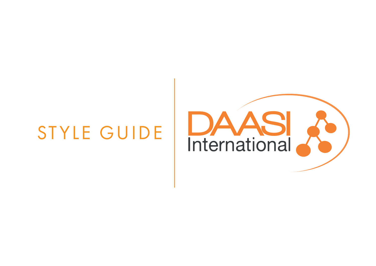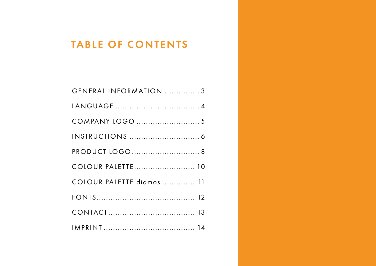# TABLE OF CONTENTS

| GENERAL INFORMATION 3    |
|--------------------------|
|                          |
|                          |
|                          |
| PRODUCT LOGO 8           |
| COLOUR PALETTE 10        |
| COLOUR PALETTE didmos 11 |
|                          |
|                          |
|                          |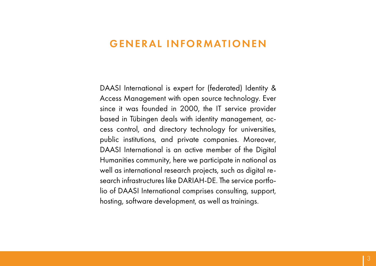#### <span id="page-2-0"></span>GENERAL INFORMATIONEN

DAASI International is expert for (federated) Identity & Access Management with open source technology. Ever since it was founded in 2000, the IT service provider based in Tübingen deals with identity management, access control, and directory technology for universities, public institutions, and private companies. Moreover, DAASI International is an active member of the Digital Humanities community, here we participate in national as well as international research projects, such as digital research infrastructures like DARIAH-DE. The service portfolio of DAASI International comprises consulting, support, hosting, software development, as well as trainings.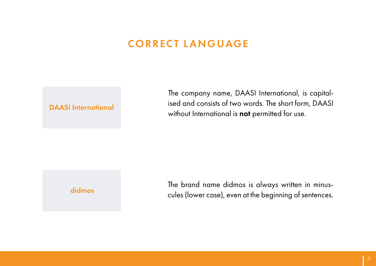#### CORRECT LANGUAGE

#### <span id="page-3-0"></span>DAASI International

The company name, DAASI International, is capitalised and consists of two words. The short form, DAASI without International is not permitted for use.

#### didmos

The brand name didmos is always written in minuscules (lower case), even at the beginning of sentences.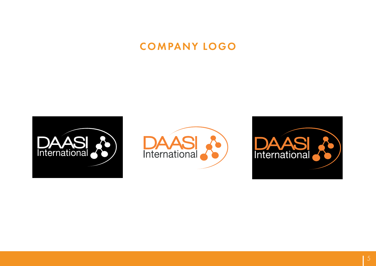# COMPANY LOGO

<span id="page-4-0"></span>



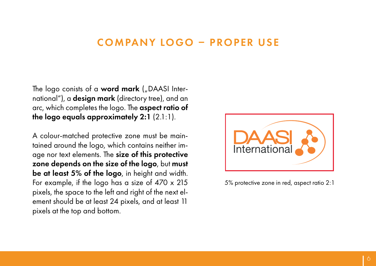#### COMPANY LOGO – PROPER USE

<span id="page-5-0"></span>The logo conists of a **word mark** ( $n$  DAASI International"), a design mark (directory tree), and an arc, which completes the logo. The aspect ratio of the logo equals approximately 2:1 (2.1:1).

A colour-matched protective zone must be maintained around the logo, which contains neither image nor text elements. The size of this protective zone depends on the size of the logo, but must be at least 5% of the logo, in height and width. For example, if the logo has a size of 470 x 215 pixels, the space to the left and right of the next element should be at least 24 pixels, and at least 11 pixels at the top and bottom.



5% protective zone in red, aspect ratio 2:1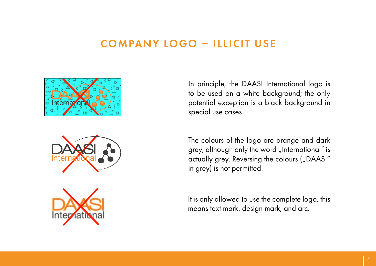#### COMPANY LOGO – ILLICIT USE







In principle, the DAASI International logo is to be used on a white background; the only potential exception is a black background in special use cases.

The colours of the logo are orange and dark grey, although only the word "International" is actually grey. Reversing the colours ("DAASI" in grey) is not permitted.

It is only allowed to use the complete logo, this means text mark, design mark, and arc.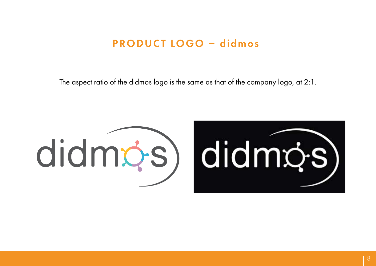#### PRODUCT LOGO – didmos

<span id="page-7-0"></span>The aspect ratio of the didmos logo is the same as that of the company logo, at 2:1.



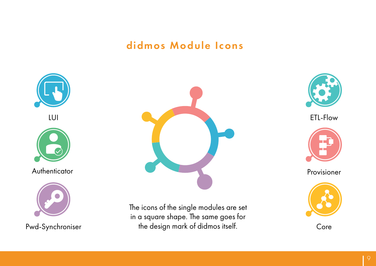#### didmos Module Icons



Pwd-Synchroniser



The icons of the single modules are set in a square shape. The same goes for the design mark of didmos itself.



ETL-Flow



Provisioner



Core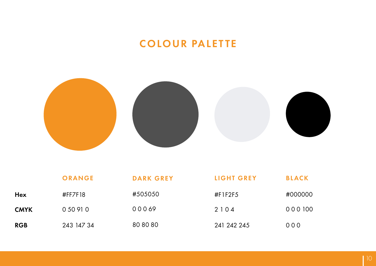# COLOUR PALETTE

<span id="page-9-0"></span>

|             | ORANGE     | <b>DARK GREY</b> | LIGHT GREY  | <b>BLACK</b> |
|-------------|------------|------------------|-------------|--------------|
| <b>Hex</b>  | #FF7F18    | #505050          | #F1F2F5     | #000000      |
| <b>CMYK</b> | 0 50 91 0  | 00069            | 2104        | 000 100      |
| <b>RGB</b>  | 243 147 34 | 80 80 80         | 241 242 245 | $000$        |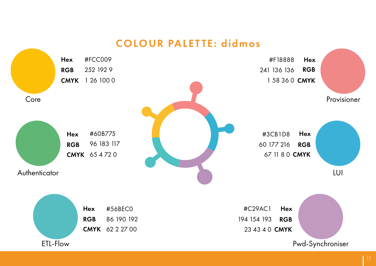#### COLOUR PALETTE: didmos

<span id="page-10-0"></span>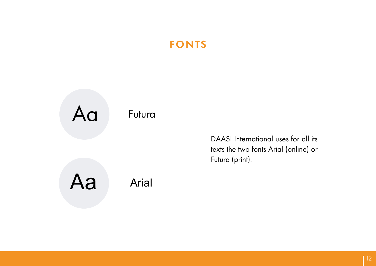# FONTS

<span id="page-11-0"></span>

DAASI International uses for all its texts the two fonts Arial (online) or Futura (print).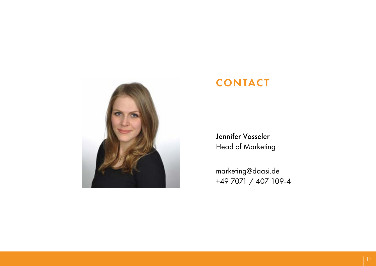<span id="page-12-0"></span>

#### CONTACT

Jennifer Vosseler Head of Marketing

marketing@daasi.de +49 7071 / 407 109-4